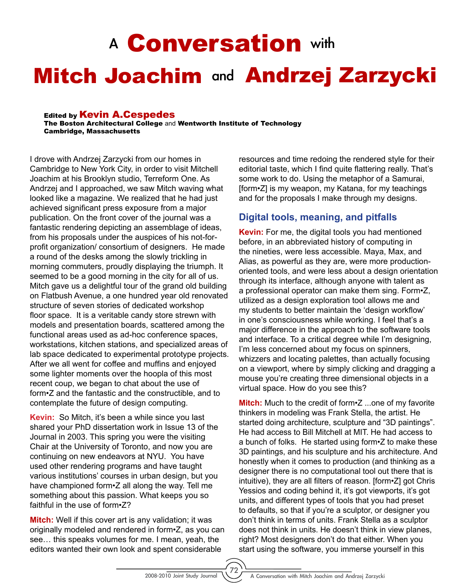# A **Conversation** with

# Mitch Joachim and Andrzej Zarzycki

#### **Edited by Kevin A.Cespedes**

The Boston Architectural College and Wentworth Institute of Technology Cambridge, Massachusetts

I drove with Andrzej Zarzycki from our homes in Cambridge to New York City, in order to visit Mitchell Joachim at his Brooklyn studio, Terreform One. As Andrzej and I approached, we saw Mitch waving what looked like a magazine. We realized that he had just achieved significant press exposure from a major publication. On the front cover of the journal was a fantastic rendering depicting an assemblage of ideas, from his proposals under the auspices of his not-forprofit organization/ consortium of designers. He made a round of the desks among the slowly trickling in morning commuters, proudly displaying the triumph. It seemed to be a good morning in the city for all of us. Mitch gave us a delightful tour of the grand old building on Flatbush Avenue, a one hundred year old renovated structure of seven stories of dedicated workshop floor space. It is a veritable candy store strewn with models and presentation boards, scattered among the functional areas used as ad-hoc conference spaces, workstations, kitchen stations, and specialized areas of lab space dedicated to experimental prototype projects. After we all went for coffee and muffins and enjoyed some lighter moments over the hoopla of this most recent coup, we began to chat about the use of form•Z and the fantastic and the constructible, and to contemplate the future of design computing.

**Kevin:** So Mitch, it's been a while since you last shared your PhD dissertation work in Issue 13 of the Journal in 2003. This spring you were the visiting Chair at the University of Toronto, and now you are continuing on new endeavors at NYU. You have used other rendering programs and have taught various institutions' courses in urban design, but you have championed form•Z all along the way. Tell me something about this passion. What keeps you so faithful in the use of form•Z?

**Mitch:** Well if this cover art is any validation; it was originally modeled and rendered in form•Z, as you can see… this speaks volumes for me. I mean, yeah, the editors wanted their own look and spent considerable

resources and time redoing the rendered style for their editorial taste, which I find quite flattering really. That's some work to do. Using the metaphor of a Samurai, [form•Z] is my weapon, my Katana, for my teachings and for the proposals I make through my designs.

#### **Digital tools, meaning, and pitfalls**

**Kevin:** For me, the digital tools you had mentioned before, in an abbreviated history of computing in the nineties, were less accessible. Maya, Max, and Alias, as powerful as they are, were more productionoriented tools, and were less about a design orientation through its interface, although anyone with talent as a professional operator can make them sing. Form•Z, utilized as a design exploration tool allows me and my students to better maintain the 'design workflow' in one's consciousness while working. I feel that's a major difference in the approach to the software tools and interface. To a critical degree while I'm designing, I'm less concerned about my focus on spinners, whizzers and locating palettes, than actually focusing on a viewport, where by simply clicking and dragging a mouse you're creating three dimensional objects in a virtual space. How do you see this?

**Mitch:** Much to the credit of form•Z ...one of my favorite thinkers in modeling was Frank Stella, the artist. He started doing architecture, sculpture and "3D paintings". He had access to Bill Mitchell at MIT. He had access to a bunch of folks. He started using form•Z to make these 3D paintings, and his sculpture and his architecture. And honestly when it comes to production (and thinking as a designer there is no computational tool out there that is intuitive), they are all filters of reason. [form•Z] got Chris Yessios and coding behind it, it's got viewports, it's got units, and different types of tools that you had preset to defaults, so that if you're a sculptor, or designer you don't think in terms of units. Frank Stella as a sculptor does not think in units. He doesn't think in view planes, right? Most designers don't do that either. When you start using the software, you immerse yourself in this

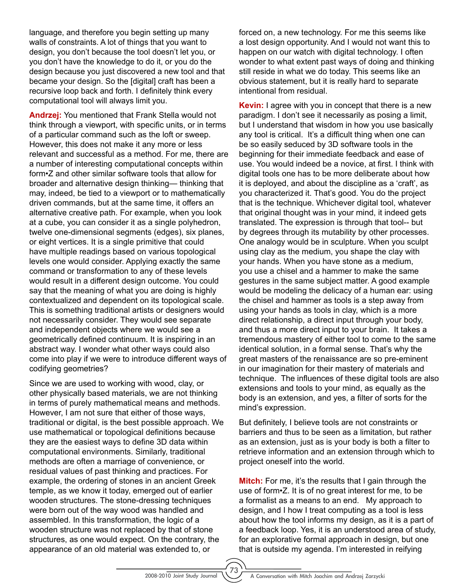language, and therefore you begin setting up many walls of constraints. A lot of things that you want to design, you don't because the tool doesn't let you, or you don't have the knowledge to do it, or you do the design because you just discovered a new tool and that became your design. So the [digital] craft has been a recursive loop back and forth. I definitely think every computational tool will always limit you.

**Andrzej:** You mentioned that Frank Stella would not think through a viewport, with specific units, or in terms of a particular command such as the loft or sweep. However, this does not make it any more or less relevant and successful as a method. For me, there are a number of interesting computational concepts within form•Z and other similar software tools that allow for broader and alternative design thinking— thinking that may, indeed, be tied to a viewport or to mathematically driven commands, but at the same time, it offers an alternative creative path. For example, when you look at a cube, you can consider it as a single polyhedron, twelve one-dimensional segments (edges), six planes, or eight vertices. It is a single primitive that could have multiple readings based on various topological levels one would consider. Applying exactly the same command or transformation to any of these levels would result in a different design outcome. You could say that the meaning of what you are doing is highly contextualized and dependent on its topological scale. This is something traditional artists or designers would not necessarily consider. They would see separate and independent objects where we would see a geometrically defined continuum. It is inspiring in an abstract way. I wonder what other ways could also come into play if we were to introduce different ways of codifying geometries?

Since we are used to working with wood, clay, or other physically based materials, we are not thinking in terms of purely mathematical means and methods. However, I am not sure that either of those ways, traditional or digital, is the best possible approach. We use mathematical or topological definitions because they are the easiest ways to define 3D data within computational environments. Similarly, traditional methods are often a marriage of convenience, or residual values of past thinking and practices. For example, the ordering of stones in an ancient Greek temple, as we know it today, emerged out of earlier wooden structures. The stone-dressing techniques were born out of the way wood was handled and assembled. In this transformation, the logic of a wooden structure was not replaced by that of stone structures, as one would expect. On the contrary, the appearance of an old material was extended to, or

forced on, a new technology. For me this seems like a lost design opportunity. And I would not want this to happen on our watch with digital technology. I often wonder to what extent past ways of doing and thinking still reside in what we do today. This seems like an obvious statement, but it is really hard to separate intentional from residual.

**Kevin:** I agree with you in concept that there is a new paradigm. I don't see it necessarily as posing a limit, but I understand that wisdom in how you use basically any tool is critical. It's a difficult thing when one can be so easily seduced by 3D software tools in the beginning for their immediate feedback and ease of use. You would indeed be a novice, at first. I think with digital tools one has to be more deliberate about how it is deployed, and about the discipline as a 'craft', as you characterized it. That's good. You do the project that is the technique. Whichever digital tool, whatever that original thought was in your mind, it indeed gets translated. The expression is through that tool-- but by degrees through its mutability by other processes. One analogy would be in sculpture. When you sculpt using clay as the medium, you shape the clay with your hands. When you have stone as a medium, you use a chisel and a hammer to make the same gestures in the same subject matter. A good example would be modeling the delicacy of a human ear: using the chisel and hammer as tools is a step away from using your hands as tools in clay, which is a more direct relationship, a direct input through your body, and thus a more direct input to your brain. It takes a tremendous mastery of either tool to come to the same identical solution, in a formal sense. That's why the great masters of the renaissance are so pre-eminent in our imagination for their mastery of materials and technique. The influences of these digital tools are also extensions and tools to your mind, as equally as the body is an extension, and yes, a filter of sorts for the mind's expression.

But definitely, I believe tools are not constraints or barriers and thus to be seen as a limitation, but rather as an extension, just as is your body is both a filter to retrieve information and an extension through which to project oneself into the world.

**Mitch:** For me, it's the results that I gain through the use of form•Z. It is of no great interest for me, to be a formalist as a means to an end. My approach to design, and I how I treat computing as a tool is less about how the tool informs my design, as it is a part of a feedback loop. Yes, it is an understood area of study, for an explorative formal approach in design, but one that is outside my agenda. I'm interested in reifying

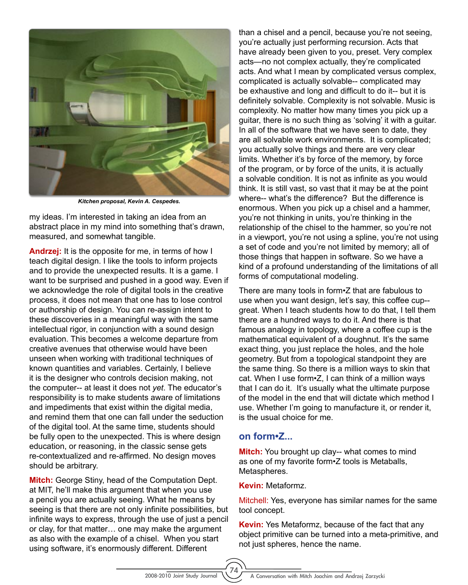

*Kitchen proposal, Kevin A. Cespedes.*

my ideas. I'm interested in taking an idea from an abstract place in my mind into something that's drawn, measured, and somewhat tangible.

**Andrzej:** It is the opposite for me, in terms of how I teach digital design. I like the tools to inform projects and to provide the unexpected results. It is a game. I want to be surprised and pushed in a good way. Even if we acknowledge the role of digital tools in the creative process, it does not mean that one has to lose control or authorship of design. You can re-assign intent to these discoveries in a meaningful way with the same intellectual rigor, in conjunction with a sound design evaluation. This becomes a welcome departure from creative avenues that otherwise would have been unseen when working with traditional techniques of known quantities and variables. Certainly, I believe it is the designer who controls decision making, not the computer-- at least it does not *yet*. The educator's responsibility is to make students aware of limitations and impediments that exist within the digital media, and remind them that one can fall under the seduction of the digital tool. At the same time, students should be fully open to the unexpected. This is where design education, or reasoning, in the classic sense gets re-contextualized and re-affirmed. No design moves should be arbitrary.

**Mitch:** George Stiny, head of the Computation Dept. at MIT, he'll make this argument that when you use a pencil you are actually seeing. What he means by seeing is that there are not only infinite possibilities, but infinite ways to express, through the use of just a pencil or clay, for that matter… one may make the argument as also with the example of a chisel. When you start using software, it's enormously different. Different

than a chisel and a pencil, because you're not seeing, you're actually just performing recursion. Acts that have already been given to you, preset. Very complex acts—no not complex actually, they're complicated acts. And what I mean by complicated versus complex, complicated is actually solvable-- complicated may be exhaustive and long and difficult to do it-- but it is definitely solvable. Complexity is not solvable. Music is complexity. No matter how many times you pick up a guitar, there is no such thing as 'solving' it with a guitar. In all of the software that we have seen to date, they are all solvable work environments. It is complicated; you actually solve things and there are very clear limits. Whether it's by force of the memory, by force of the program, or by force of the units, it is actually a solvable condition. It is not as infinite as you would think. It is still vast, so vast that it may be at the point where-- what's the difference? But the difference is enormous. When you pick up a chisel and a hammer, you're not thinking in units, you're thinking in the relationship of the chisel to the hammer, so you're not in a viewport, you're not using a spline, you're not using a set of code and you're not limited by memory; all of those things that happen in software. So we have a kind of a profound understanding of the limitations of all forms of computational modeling.

There are many tools in form•Z that are fabulous to use when you want design, let's say, this coffee cup- great. When I teach students how to do that, I tell them there are a hundred ways to do it. And there is that famous analogy in topology, where a coffee cup is the mathematical equivalent of a doughnut. It's the same exact thing, you just replace the holes, and the hole geometry. But from a topological standpoint they are the same thing. So there is a million ways to skin that cat. When I use form•Z, I can think of a million ways that I can do it. It's usually what the ultimate purpose of the model in the end that will dictate which method I use. Whether I'm going to manufacture it, or render it, is the usual choice for me.

#### **on form•Z...**

**Mitch:** You brought up clay-- what comes to mind as one of my favorite form•Z tools is Metaballs, Metaspheres.

#### **Kevin:** Metaformz.

Mitchell: Yes, everyone has similar names for the same tool concept.

**Kevin:** Yes Metaformz, because of the fact that any object primitive can be turned into a meta-primitive, and not just spheres, hence the name.

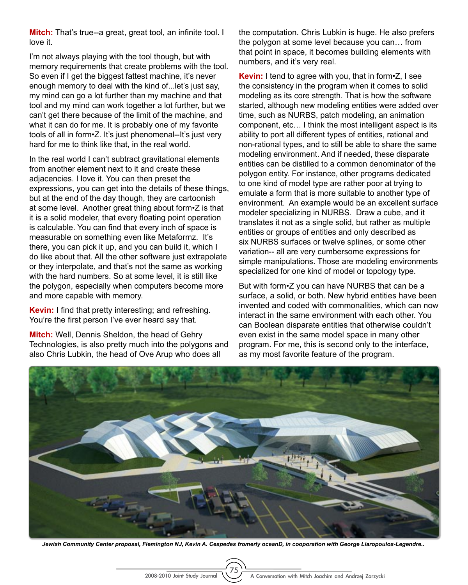**Mitch:** That's true--a great, great tool, an infinite tool. I love it.

I'm not always playing with the tool though, but with memory requirements that create problems with the tool. So even if I get the biggest fattest machine, it's never enough memory to deal with the kind of...let's just say, my mind can go a lot further than my machine and that tool and my mind can work together a lot further, but we can't get there because of the limit of the machine, and what it can do for me. It is probably one of my favorite tools of all in form•Z. It's just phenomenal--It's just very hard for me to think like that, in the real world.

In the real world I can't subtract gravitational elements from another element next to it and create these adjacencies. I love it. You can then preset the expressions, you can get into the details of these things, but at the end of the day though, they are cartoonish at some level. Another great thing about form•Z is that it is a solid modeler, that every floating point operation is calculable. You can find that every inch of space is measurable on something even like Metaformz. It's there, you can pick it up, and you can build it, which I do like about that. All the other software just extrapolate or they interpolate, and that's not the same as working with the hard numbers. So at some level, it is still like the polygon, especially when computers become more and more capable with memory.

**Kevin:** I find that pretty interesting; and refreshing. You're the first person I've ever heard say that.

**Mitch:** Well, Dennis Sheldon, the head of Gehry Technologies, is also pretty much into the polygons and also Chris Lubkin, the head of Ove Arup who does all

the computation. Chris Lubkin is huge. He also prefers the polygon at some level because you can… from that point in space, it becomes building elements with numbers, and it's very real.

**Kevin:** I tend to agree with you, that in form•Z, I see the consistency in the program when it comes to solid modeling as its core strength. That is how the software started, although new modeling entities were added over time, such as NURBS, patch modeling, an animation component, etc… I think the most intelligent aspect is its ability to port all different types of entities, rational and non-rational types, and to still be able to share the same modeling environment. And if needed, these disparate entities can be distilled to a common denominator of the polygon entity. For instance, other programs dedicated to one kind of model type are rather poor at trying to emulate a form that is more suitable to another type of environment. An example would be an excellent surface modeler specializing in NURBS. Draw a cube, and it translates it not as a single solid, but rather as multiple entities or groups of entities and only described as six NURBS surfaces or twelve splines, or some other variation-- all are very cumbersome expressions for simple manipulations. Those are modeling environments specialized for one kind of model or topology type.

But with form•Z you can have NURBS that can be a surface, a solid, or both. New hybrid entities have been invented and coded with commonalities, which can now interact in the same environment with each other. You can Boolean disparate entities that otherwise couldn't even exist in the same model space in many other program. For me, this is second only to the interface, as my most favorite feature of the program.



*Jewish Community Center proposal, Flemington NJ, Kevin A. Cespedes fromerly oceanD, in cooporation with George Liaropoulos-Legendre..*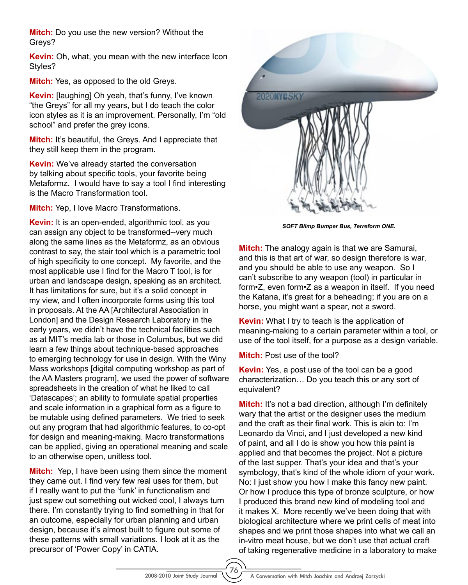**Mitch:** Do you use the new version? Without the Greys?

**Kevin:** Oh, what, you mean with the new interface Icon Styles?

**Mitch:** Yes, as opposed to the old Greys.

**Kevin:** [laughing] Oh yeah, that's funny, I've known "the Greys" for all my years, but I do teach the color icon styles as it is an improvement. Personally, I'm "old school" and prefer the grey icons.

**Mitch:** It's beautiful, the Greys. And I appreciate that they still keep them in the program.

**Kevin:** We've already started the conversation by talking about specific tools, your favorite being Metaformz. I would have to say a tool I find interesting is the Macro Transformation tool.

**Mitch:** Yep, I love Macro Transformations.

**Kevin:** It is an open-ended, algorithmic tool, as you can assign any object to be transformed--very much along the same lines as the Metaformz, as an obvious contrast to say, the stair tool which is a parametric tool of high specificity to one concept. My favorite, and the most applicable use I find for the Macro T tool, is for urban and landscape design, speaking as an architect. It has limitations for sure, but it's a solid concept in my view, and I often incorporate forms using this tool in proposals. At the AA [Architectural Association in London] and the Design Research Laboratory in the early years, we didn't have the technical facilities such as at MIT's media lab or those in Columbus, but we did learn a few things about technique-based approaches to emerging technology for use in design. With the Winy Mass workshops [digital computing workshop as part of the AA Masters program], we used the power of software spreadsheets in the creation of what he liked to call 'Datascapes'; an ability to formulate spatial properties and scale information in a graphical form as a figure to be mutable using defined parameters. We tried to seek out any program that had algorithmic features, to co-opt for design and meaning-making. Macro transformations can be applied, giving an operational meaning and scale to an otherwise open, unitless tool.

**Mitch:** Yep, I have been using them since the moment they came out. I find very few real uses for them, but if I really want to put the 'funk' in functionalism and just spew out something out wicked cool, I always turn there. I'm constantly trying to find something in that for an outcome, especially for urban planning and urban design, because it's almost built to figure out some of these patterns with small variations. I look at it as the precursor of 'Power Copy' in CATIA.



*SOFT Blimp Bumper Bus, Terreform ONE.*

**Mitch:** The analogy again is that we are Samurai, and this is that art of war, so design therefore is war, and you should be able to use any weapon. So I can't subscribe to any weapon (tool) in particular in form•Z, even form•Z as a weapon in itself. If you need the Katana, it's great for a beheading; if you are on a horse, you might want a spear, not a sword.

**Kevin:** What I try to teach is the application of meaning-making to a certain parameter within a tool, or use of the tool itself, for a purpose as a design variable.

**Mitch:** Post use of the tool?

**Kevin:** Yes, a post use of the tool can be a good characterization… Do you teach this or any sort of equivalent?

**Mitch:** It's not a bad direction, although I'm definitely wary that the artist or the designer uses the medium and the craft as their final work. This is akin to: I'm Leonardo da Vinci, and I just developed a new kind of paint, and all I do is show you how this paint is applied and that becomes the project. Not a picture of the last supper. That's your idea and that's your symbology, that's kind of the whole idiom of your work. No: I just show you how I make this fancy new paint. Or how I produce this type of bronze sculpture, or how I produced this brand new kind of modeling tool and it makes X. More recently we've been doing that with biological architecture where we print cells of meat into shapes and we print those shapes into what we call an in-vitro meat house, but we don't use that actual craft of taking regenerative medicine in a laboratory to make

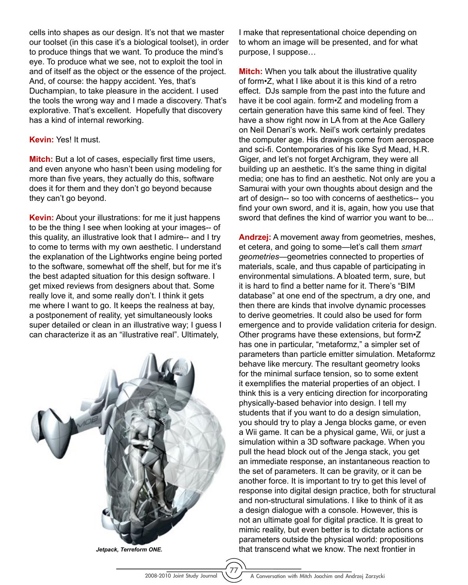cells into shapes as our design. It's not that we master our toolset (in this case it's a biological toolset), in order to produce things that we want. To produce the mind's eye. To produce what we see, not to exploit the tool in and of itself as the object or the essence of the project. And, of course: the happy accident. Yes, that's Duchampian, to take pleasure in the accident. I used the tools the wrong way and I made a discovery. That's explorative. That's excellent. Hopefully that discovery has a kind of internal reworking.

**Kevin:** Yes! It must.

**Mitch:** But a lot of cases, especially first time users, and even anyone who hasn't been using modeling for more than five years, they actually do this, software does it for them and they don't go beyond because they can't go beyond.

**Kevin:** About your illustrations: for me it just happens to be the thing I see when looking at your images-- of this quality, an illustrative look that I admire-- and I try to come to terms with my own aesthetic. I understand the explanation of the Lightworks engine being ported to the software, somewhat off the shelf, but for me it's the best adapted situation for this design software. I get mixed reviews from designers about that. Some really love it, and some really don't. I think it gets me where I want to go. It keeps the realness at bay, a postponement of reality, yet simultaneously looks super detailed or clean in an illustrative way; I guess I can characterize it as an "illustrative real". Ultimately,



*Jetpack, Terreform ONE.*

I make that representational choice depending on to whom an image will be presented, and for what purpose, I suppose…

**Mitch:** When you talk about the illustrative quality of form•Z, what I like about it is this kind of a retro effect. DJs sample from the past into the future and have it be cool again. form  $Z$  and modeling from a certain generation have this same kind of feel. They have a show right now in LA from at the Ace Gallery on Neil Denari's work. Neil's work certainly predates the computer age. His drawings come from aerospace and sci-fi. Contemporaries of his like Syd Mead, H.R. Giger, and let's not forget Archigram, they were all building up an aesthetic. It's the same thing in digital media; one has to find an aesthetic. Not only are you a Samurai with your own thoughts about design and the art of design-- so too with concerns of aesthetics-- you find your own sword, and it is, again, how you use that sword that defines the kind of warrior you want to be...

**Andrzej:** A movement away from geometries, meshes, et cetera, and going to some—let's call them *smart geometries*—geometries connected to properties of materials, scale, and thus capable of participating in environmental simulations. A bloated term, sure, but it is hard to find a better name for it. There's "BIM database" at one end of the spectrum, a dry one, and then there are kinds that involve dynamic processes to derive geometries. It could also be used for form emergence and to provide validation criteria for design. Other programs have these extensions, but form•Z has one in particular, "metaformz," a simpler set of parameters than particle emitter simulation. Metaformz behave like mercury. The resultant geometry looks for the minimal surface tension, so to some extent it exemplifies the material properties of an object. I think this is a very enticing direction for incorporating physically-based behavior into design. I tell my students that if you want to do a design simulation, you should try to play a Jenga blocks game, or even a Wii game. It can be a physical game, Wii, or just a simulation within a 3D software package. When you pull the head block out of the Jenga stack, you get an immediate response, an instantaneous reaction to the set of parameters. It can be gravity, or it can be another force. It is important to try to get this level of response into digital design practice, both for structural and non-structural simulations. I like to think of it as a design dialogue with a console. However, this is not an ultimate goal for digital practice. It is great to mimic reality, but even better is to dictate actions or parameters outside the physical world: propositions that transcend what we know. The next frontier in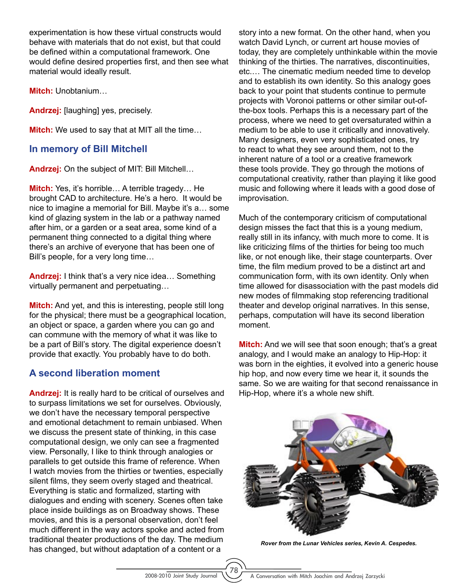experimentation is how these virtual constructs would behave with materials that do not exist, but that could be defined within a computational framework. One would define desired properties first, and then see what material would ideally result.

**Mitch:** Unobtanium…

**Andrzej:** [laughing] yes, precisely.

**Mitch:** We used to say that at MIT all the time…

#### **In memory of Bill Mitchell**

**Andrzej:** On the subject of MIT: Bill Mitchell…

**Mitch:** Yes, it's horrible… A terrible tragedy… He brought CAD to architecture. He's a hero. It would be nice to imagine a memorial for Bill. Maybe it's a… some kind of glazing system in the lab or a pathway named after him, or a garden or a seat area, some kind of a permanent thing connected to a digital thing where there's an archive of everyone that has been one of Bill's people, for a very long time…

**Andrzej:** I think that's a very nice idea… Something virtually permanent and perpetuating…

**Mitch:** And yet, and this is interesting, people still long for the physical; there must be a geographical location, an object or space, a garden where you can go and can commune with the memory of what it was like to be a part of Bill's story. The digital experience doesn't provide that exactly. You probably have to do both.

# **A second liberation moment**

**Andrzej:** It is really hard to be critical of ourselves and to surpass limitations we set for ourselves. Obviously, we don't have the necessary temporal perspective and emotional detachment to remain unbiased. When we discuss the present state of thinking, in this case computational design, we only can see a fragmented view. Personally, I like to think through analogies or parallels to get outside this frame of reference. When I watch movies from the thirties or twenties, especially silent films, they seem overly staged and theatrical. Everything is static and formalized, starting with dialogues and ending with scenery. Scenes often take place inside buildings as on Broadway shows. These movies, and this is a personal observation, don't feel much different in the way actors spoke and acted from traditional theater productions of the day. The medium has changed, but without adaptation of a content or a

story into a new format. On the other hand, when you watch David Lynch, or current art house movies of today, they are completely unthinkable within the movie thinking of the thirties. The narratives, discontinuities, etc.… The cinematic medium needed time to develop and to establish its own identity. So this analogy goes back to your point that students continue to permute projects with Voronoi patterns or other similar out-ofthe-box tools. Perhaps this is a necessary part of the process, where we need to get oversaturated within a medium to be able to use it critically and innovatively. Many designers, even very sophisticated ones, try to react to what they see around them, not to the inherent nature of a tool or a creative framework these tools provide. They go through the motions of computational creativity, rather than playing it like good music and following where it leads with a good dose of improvisation.

Much of the contemporary criticism of computational design misses the fact that this is a young medium, really still in its infancy, with much more to come. It is like criticizing films of the thirties for being too much like, or not enough like, their stage counterparts. Over time, the film medium proved to be a distinct art and communication form, with its own identity. Only when time allowed for disassociation with the past models did new modes of filmmaking stop referencing traditional theater and develop original narratives. In this sense, perhaps, computation will have its second liberation moment.

**Mitch:** And we will see that soon enough; that's a great analogy, and I would make an analogy to Hip-Hop: it was born in the eighties, it evolved into a generic house hip hop, and now every time we hear it, it sounds the same. So we are waiting for that second renaissance in Hip-Hop, where it's a whole new shift.



*Rover from the Lunar Vehicles series, Kevin A. Cespedes.*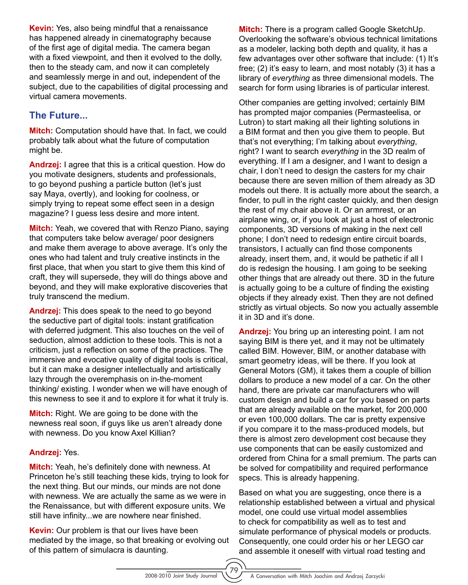**Kevin:** Yes, also being mindful that a renaissance has happened already in cinematography because of the first age of digital media. The camera began with a fixed viewpoint, and then it evolved to the dolly, then to the steady cam, and now it can completely and seamlessly merge in and out, independent of the subject, due to the capabilities of digital processing and virtual camera movements.

## **The Future...**

**Mitch:** Computation should have that. In fact, we could probably talk about what the future of computation might be.

**Andrzej:** I agree that this is a critical question. How do you motivate designers, students and professionals, to go beyond pushing a particle button (let's just say Maya, overtly), and looking for coolness, or simply trying to repeat some effect seen in a design magazine? I guess less desire and more intent.

**Mitch:** Yeah, we covered that with Renzo Piano, saying that computers take below average/ poor designers and make them average to above average. It's only the ones who had talent and truly creative instincts in the first place, that when you start to give them this kind of craft, they will supersede, they will do things above and beyond, and they will make explorative discoveries that truly transcend the medium.

**Andrzej:** This does speak to the need to go beyond the seductive part of digital tools: instant gratification with deferred judgment. This also touches on the veil of seduction, almost addiction to these tools. This is not a criticism, just a reflection on some of the practices. The immersive and evocative quality of digital tools is critical, but it can make a designer intellectually and artistically lazy through the overemphasis on in-the-moment thinking/ existing. I wonder when we will have enough of this newness to see it and to explore it for what it truly is.

**Mitch:** Right. We are going to be done with the newness real soon, if guys like us aren't already done with newness. Do you know Axel Killian?

#### **Andrzej:** Yes.

**Mitch:** Yeah, he's definitely done with newness. At Princeton he's still teaching these kids, trying to look for the next thing. But our minds, our minds are not done with newness. We are actually the same as we were in the Renaissance, but with different exposure units. We still have infinity...we are nowhere near finished.

**Kevin:** Our problem is that our lives have been mediated by the image, so that breaking or evolving out of this pattern of simulacra is daunting.

**Mitch:** There is a program called Google SketchUp. Overlooking the software's obvious technical limitations as a modeler, lacking both depth and quality, it has a few advantages over other software that include: (1) It's free; (2) it's easy to learn, and most notably (3) it has a library of *everything* as three dimensional models. The search for form using libraries is of particular interest.

Other companies are getting involved; certainly BIM has prompted major companies (Permasteelisa, or Lutron) to start making all their lighting solutions in a BIM format and then you give them to people. But that's not everything; I'm talking about *everything*, right? I want to search *everything* in the 3D realm of everything. If I am a designer, and I want to design a chair, I don't need to design the casters for my chair because there are seven million of them already as 3D models out there. It is actually more about the search, a finder, to pull in the right caster quickly, and then design the rest of my chair above it. Or an armrest, or an airplane wing, or, if you look at just a host of electronic components, 3D versions of making in the next cell phone; I don't need to redesign entire circuit boards, transistors, I actually can find those components already, insert them, and, it would be pathetic if all I do is redesign the housing. I am going to be seeking other things that are already out there. 3D in the future is actually going to be a culture of finding the existing objects if they already exist. Then they are not defined strictly as virtual objects. So now you actually assemble it in 3D and it's done.

**Andrzej:** You bring up an interesting point. I am not saying BIM is there yet, and it may not be ultimately called BIM. However, BIM, or another database with smart geometry ideas, will be there. If you look at General Motors (GM), it takes them a couple of billion dollars to produce a new model of a car. On the other hand, there are private car manufacturers who will custom design and build a car for you based on parts that are already available on the market, for 200,000 or even 100,000 dollars. The car is pretty expensive if you compare it to the mass-produced models, but there is almost zero development cost because they use components that can be easily customized and ordered from China for a small premium. The parts can be solved for compatibility and required performance specs. This is already happening.

Based on what you are suggesting, once there is a relationship established between a virtual and physical model, one could use virtual model assemblies to check for compatibility as well as to test and simulate performance of physical models or products. Consequently, one could order his or her LEGO car and assemble it oneself with virtual road testing and

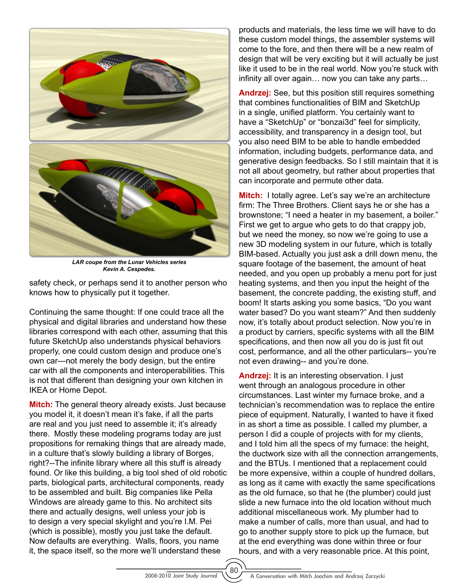

*LAR coupe from the Lunar Vehicles series Kevin A. Cespedes.*

safety check, or perhaps send it to another person who knows how to physically put it together.

Continuing the same thought: If one could trace all the physical and digital libraries and understand how these libraries correspond with each other, assuming that this future SketchUp also understands physical behaviors properly, one could custom design and produce one's own car—not merely the body design, but the entire car with all the components and interoperabilities. This is not that different than designing your own kitchen in IKEA or Home Depot.

**Mitch:** The general theory already exists. Just because you model it, it doesn't mean it's fake, if all the parts are real and you just need to assemble it; it's already there. Mostly these modeling programs today are just propositions for remaking things that are already made, in a culture that's slowly building a library of Borges, right?--The infinite library where all this stuff is already found. Or like this building, a big tool shed of old robotic parts, biological parts, architectural components, ready to be assembled and built. Big companies like Pella Windows are already game to this. No architect sits there and actually designs, well unless your job is to design a very special skylight and you're I.M. Pei (which is possible), mostly you just take the default. Now defaults are everything. Walls, floors, you name it, the space itself, so the more we'll understand these

products and materials, the less time we will have to do these custom model things, the assembler systems will come to the fore, and then there will be a new realm of design that will be very exciting but it will actually be just like it used to be in the real world. Now you're stuck with infinity all over again… now you can take any parts…

**Andrzej:** See, but this position still requires something that combines functionalities of BIM and SketchUp in a single, unified platform. You certainly want to have a "SketchUp" or "bonzai3d" feel for simplicity, accessibility, and transparency in a design tool, but you also need BIM to be able to handle embedded information, including budgets, performance data, and generative design feedbacks. So I still maintain that it is not all about geometry, but rather about properties that can incorporate and permute other data.

**Mitch:** I totally agree. Let's say we're an architecture firm: The Three Brothers. Client says he or she has a brownstone; "I need a heater in my basement, a boiler." First we get to argue who gets to do that crappy job, but we need the money, so now we're going to use a new 3D modeling system in our future, which is totally BIM-based. Actually you just ask a drill down menu, the square footage of the basement, the amount of heat needed, and you open up probably a menu port for just heating systems, and then you input the height of the basement, the concrete padding, the existing stuff, and boom! It starts asking you some basics, "Do you want water based? Do you want steam?" And then suddenly now, it's totally about product selection. Now you're in a product by carriers, specific systems with all the BIM specifications, and then now all you do is just fit out cost, performance, and all the other particulars-- you're not even drawing-- and you're done.

**Andrzej:** It is an interesting observation. I just went through an analogous procedure in other circumstances. Last winter my furnace broke, and a technician's recommendation was to replace the entire piece of equipment. Naturally, I wanted to have it fixed in as short a time as possible. I called my plumber, a person I did a couple of projects with for my clients, and I told him all the specs of my furnace: the height, the ductwork size with all the connection arrangements, and the BTUs. I mentioned that a replacement could be more expensive, within a couple of hundred dollars, as long as it came with exactly the same specifications as the old furnace, so that he (the plumber) could just slide a new furnace into the old location without much additional miscellaneous work. My plumber had to make a number of calls, more than usual, and had to go to another supply store to pick up the furnace, but at the end everything was done within three or four hours, and with a very reasonable price. At this point,

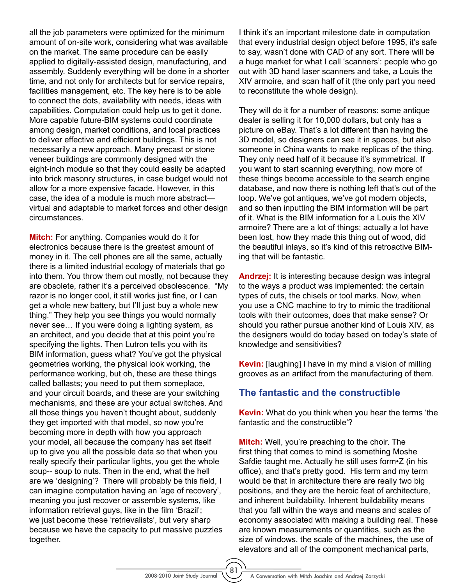all the job parameters were optimized for the minimum amount of on-site work, considering what was available on the market. The same procedure can be easily applied to digitally-assisted design, manufacturing, and assembly. Suddenly everything will be done in a shorter time, and not only for architects but for service repairs, facilities management, etc. The key here is to be able to connect the dots, availability with needs, ideas with capabilities. Computation could help us to get it done. More capable future-BIM systems could coordinate among design, market conditions, and local practices to deliver effective and efficient buildings. This is not necessarily a new approach. Many precast or stone veneer buildings are commonly designed with the eight-inch module so that they could easily be adapted into brick masonry structures, in case budget would not allow for a more expensive facade. However, in this case, the idea of a module is much more abstract virtual and adaptable to market forces and other design circumstances.

**Mitch:** For anything. Companies would do it for electronics because there is the greatest amount of money in it. The cell phones are all the same, actually there is a limited industrial ecology of materials that go into them. You throw them out mostly, not because they are obsolete, rather it's a perceived obsolescence. "My razor is no longer cool, it still works just fine, or I can get a whole new battery, but I'll just buy a whole new thing." They help you see things you would normally never see… If you were doing a lighting system, as an architect, and you decide that at this point you're specifying the lights. Then Lutron tells you with its BIM information, guess what? You've got the physical geometries working, the physical look working, the performance working, but oh, these are these things called ballasts; you need to put them someplace, and your circuit boards, and these are your switching mechanisms, and these are your actual switches. And all those things you haven't thought about, suddenly they get imported with that model, so now you're becoming more in depth with how you approach your model, all because the company has set itself up to give you all the possible data so that when you really specify their particular lights, you get the whole soup-- soup to nuts. Then in the end, what the hell are we 'designing'? There will probably be this field, I can imagine computation having an 'age of recovery', meaning you just recover or assemble systems, like information retrieval guys, like in the film 'Brazil'; we just become these 'retrievalists', but very sharp because we have the capacity to put massive puzzles together.

I think it's an important milestone date in computation that every industrial design object before 1995, it's safe to say, wasn't done with CAD of any sort. There will be a huge market for what I call 'scanners': people who go out with 3D hand laser scanners and take, a Louis the XIV armoire, and scan half of it (the only part you need to reconstitute the whole design).

They will do it for a number of reasons: some antique dealer is selling it for 10,000 dollars, but only has a picture on eBay. That's a lot different than having the 3D model, so designers can see it in spaces, but also someone in China wants to make replicas of the thing. They only need half of it because it's symmetrical. If you want to start scanning everything, now more of these things become accessible to the search engine database, and now there is nothing left that's out of the loop. We've got antiques, we've got modern objects, and so then inputting the BIM information will be part of it. What is the BIM information for a Louis the XIV armoire? There are a lot of things; actually a lot have been lost, how they made this thing out of wood, did the beautiful inlays, so it's kind of this retroactive BIMing that will be fantastic.

**Andrzej:** It is interesting because design was integral to the ways a product was implemented: the certain types of cuts, the chisels or tool marks. Now, when you use a CNC machine to try to mimic the traditional tools with their outcomes, does that make sense? Or should you rather pursue another kind of Louis XIV, as the designers would do today based on today's state of knowledge and sensitivities?

**Kevin:** [laughing] I have in my mind a vision of milling grooves as an artifact from the manufacturing of them.

### **The fantastic and the constructible**

**Kevin:** What do you think when you hear the terms 'the fantastic and the constructible'?

**Mitch:** Well, you're preaching to the choir. The first thing that comes to mind is something Moshe Safdie taught me. Actually he still uses form•Z (in his office), and that's pretty good. His term and my term would be that in architecture there are really two big positions, and they are the heroic feat of architecture, and inherent buildability. Inherent buildability means that you fall within the ways and means and scales of economy associated with making a building real. These are known measurements or quantities, such as the size of windows, the scale of the machines, the use of elevators and all of the component mechanical parts,